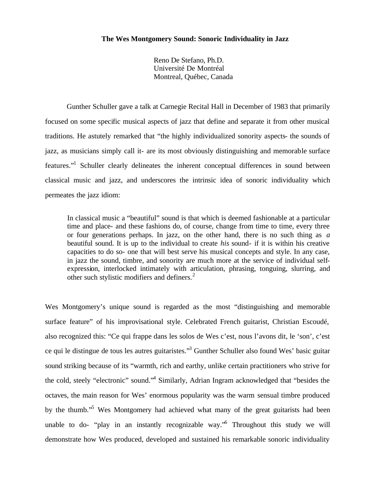# **The Wes Montgomery Sound: Sonoric Individuality in Jazz**

Reno De Stefano, Ph.D. Université De Montréal Montreal, Québec, Canada

Gunther Schuller gave a talk at Carnegie Recital Hall in December of 1983 that primarily focused on some specific musical aspects of jazz that define and separate it from other musical traditions. He astutely remarked that "the highly individualized sonority aspects- the sounds of jazz, as musicians simply call it- are its most obviously distinguishing and memorable surface features."<sup>1</sup> Schuller clearly delineates the inherent conceptual differences in sound between classical music and jazz, and underscores the intrinsic idea of sonoric individuality which permeates the jazz idiom:

In classical music a "beautiful" sound is that which is deemed fashionable at a particular time and place- and these fashions do, of course, change from time to time, every three or four generations perhaps. In jazz, on the other hand, there is no such thing as *a*  beautiful sound. It is up to the individual to create *his* sound- if it is within his creative capacities to do so- one that will best serve his musical concepts and style. In any case, in jazz the sound, timbre, and sonority are much more at the service of individual selfexpression, interlocked intimately with articulation, phrasing, tonguing, slurring, and other such stylistic modifiers and definers. $<sup>2</sup>$ </sup>

Wes Montgomery's unique sound is regarded as the most "distinguishing and memorable surface feature" of his improvisational style. Celebrated French guitarist, Christian Escoudé, also recognized this: "Ce qui frappe dans les solos de Wes c'est, nous l'avons dit, le 'son', c'est ce qui le distingue de tous les autres guitaristes."<sup>3</sup> Gunther Schuller also found Wes' basic guitar sound striking because of its "warmth, rich and earthy, unlike certain practitioners who strive for the cold, steely "electronic" sound."<sup>4</sup> Similarly, Adrian Ingram acknowledged that "besides the octaves, the main reason for Wes' enormous popularity was the warm sensual timbre produced by the thumb."<sup>5</sup> Wes Montgomery had achieved what many of the great guitarists had been unable to do- "play in an instantly recognizable way." Throughout this study we will demonstrate how Wes produced, developed and sustained his remarkable sonoric individuality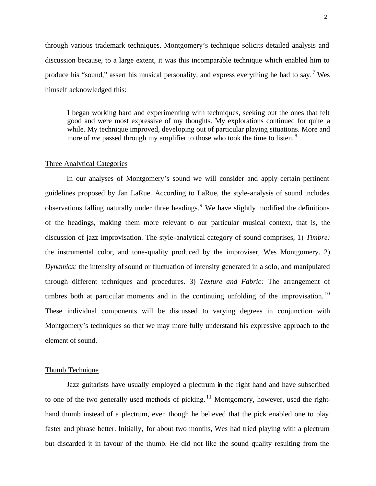through various trademark techniques. Montgomery's technique solicits detailed analysis and discussion because, to a large extent, it was this incomparable technique which enabled him to produce his "sound," assert his musical personality, and express everything he had to say.<sup>7</sup> Wes himself acknowledged this:

I began working hard and experimenting with techniques, seeking out the ones that felt good and were most expressive of my thoughts. My explorations continued for quite a while. My technique improved, developing out of particular playing situations. More and more of *me* passed through my amplifier to those who took the time to listen.<sup>8</sup>

## Three Analytical Categories

In our analyses of Montgomery's sound we will consider and apply certain pertinent guidelines proposed by Jan LaRue. According to LaRue, the style-analysis of sound includes observations falling naturally under three headings.<sup>9</sup> We have slightly modified the definitions of the headings, making them more relevant to our particular musical context, that is, the discussion of jazz improvisation. The style-analytical category of sound comprises, 1) *Timbre:* the instrumental color, and tone-quality produced by the improviser, Wes Montgomery. 2) *Dynamics:* the intensity of sound or fluctuation of intensity generated in a solo, and manipulated through different techniques and procedures. 3) *Texture and Fabric:* The arrangement of timbres both at particular moments and in the continuing unfolding of the improvisation.<sup>10</sup> These individual components will be discussed to varying degrees in conjunction with Montgomery's techniques so that we may more fully understand his expressive approach to the element of sound.

## Thumb Technique

Jazz guitarists have usually employed a plectrum in the right hand and have subscribed to one of the two generally used methods of picking.<sup>11</sup> Montgomery, however, used the righthand thumb instead of a plectrum, even though he believed that the pick enabled one to play faster and phrase better. Initially, for about two months, Wes had tried playing with a plectrum but discarded it in favour of the thumb. He did not like the sound quality resulting from the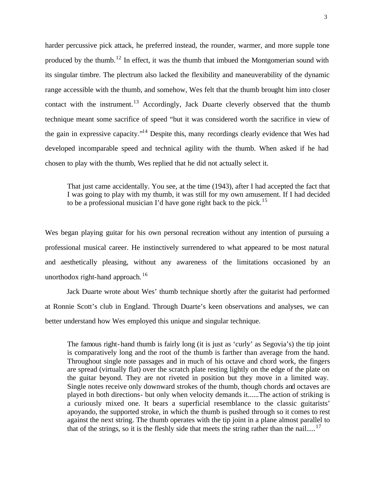harder percussive pick attack, he preferred instead, the rounder, warmer, and more supple tone produced by the thumb.<sup>12</sup> In effect, it was the thumb that imbued the Montgomerian sound with its singular timbre. The plectrum also lacked the flexibility and maneuverability of the dynamic range accessible with the thumb, and somehow, Wes felt that the thumb brought him into closer contact with the instrument.<sup>13</sup> Accordingly, Jack Duarte cleverly observed that the thumb technique meant some sacrifice of speed "but it was considered worth the sacrifice in view of the gain in expressive capacity."<sup>14</sup> Despite this, many recordings clearly evidence that Wes had developed incomparable speed and technical agility with the thumb. When asked if he had chosen to play with the thumb, Wes replied that he did not actually select it.

That just came accidentally. You see, at the time (1943), after I had accepted the fact that I was going to play with my thumb, it was still for my own amusement. If I had decided to be a professional musician I'd have gone right back to the pick.<sup>15</sup>

Wes began playing guitar for his own personal recreation without any intention of pursuing a professional musical career. He instinctively surrendered to what appeared to be most natural and aesthetically pleasing, without any awareness of the limitations occasioned by an unorthodox right-hand approach.  $16$ 

Jack Duarte wrote about Wes' thumb technique shortly after the guitarist had performed at Ronnie Scott's club in England. Through Duarte's keen observations and analyses, we can better understand how Wes employed this unique and singular technique.

The famous right-hand thumb is fairly long (it is just as 'curly' as Segovia's) the tip joint is comparatively long and the root of the thumb is farther than average from the hand. Throughout single note passages and in much of his octave and chord work, the fingers are spread (virtually flat) over the scratch plate resting lightly on the edge of the plate on the guitar beyond. They are not riveted in position but they move in a limited way. Single notes receive only downward strokes of the thumb, though chords and octaves are played in both directions- but only when velocity demands it......The action of striking is a curiously mixed one. It bears a superficial resemblance to the classic guitarists' apoyando, the supported stroke, in which the thumb is pushed through so it comes to rest against the next string. The thumb operates with the tip joint in a plane almost parallel to that of the strings, so it is the fleshly side that meets the string rather than the nail.....<sup>17</sup>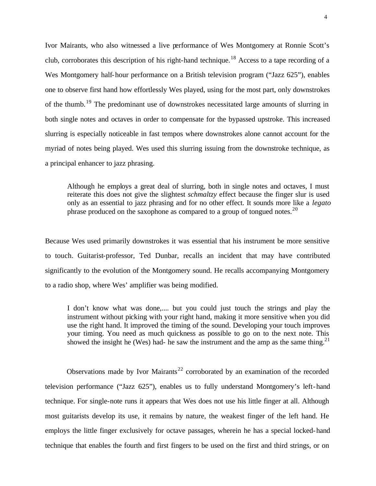Ivor Mairants, who also witnessed a live performance of Wes Montgomery at Ronnie Scott's club, corroborates this description of his right-hand technique.<sup>18</sup> Access to a tape recording of a Wes Montgomery half-hour performance on a British television program ("Jazz 625"), enables one to observe first hand how effortlessly Wes played, using for the most part, only downstrokes of the thumb.<sup>19</sup> The predominant use of downstrokes necessitated large amounts of slurring in both single notes and octaves in order to compensate for the bypassed upstroke. This increased slurring is especially noticeable in fast tempos where downstrokes alone cannot account for the myriad of notes being played. Wes used this slurring issuing from the downstroke technique, as a principal enhancer to jazz phrasing.

Although he employs a great deal of slurring, both in single notes and octaves, I must reiterate this does not give the slightest *schmaltzy* effect because the finger slur is used only as an essential to jazz phrasing and for no other effect. It sounds more like a *legato* phrase produced on the saxophone as compared to a group of tongued notes.<sup>20</sup>

Because Wes used primarily downstrokes it was essential that his instrument be more sensitive to touch. Guitarist-professor, Ted Dunbar, recalls an incident that may have contributed significantly to the evolution of the Montgomery sound. He recalls accompanying Montgomery to a radio shop, where Wes' amplifier was being modified.

I don't know what was done,.... but you could just touch the strings and play the instrument without picking with your right hand, making it more sensitive when you did use the right hand. It improved the timing of the sound. Developing your touch improves your timing. You need as much quickness as possible to go on to the next note. This showed the insight he (Wes) had- he saw the instrument and the amp as the same thing.<sup>21</sup>

Observations made by Ivor Mairants<sup>22</sup> corroborated by an examination of the recorded television performance ("Jazz 625"), enables us to fully understand Montgomery's left-hand technique. For single-note runs it appears that Wes does not use his little finger at all. Although most guitarists develop its use, it remains by nature, the weakest finger of the left hand. He employs the little finger exclusively for octave passages, wherein he has a special locked-hand technique that enables the fourth and first fingers to be used on the first and third strings, or on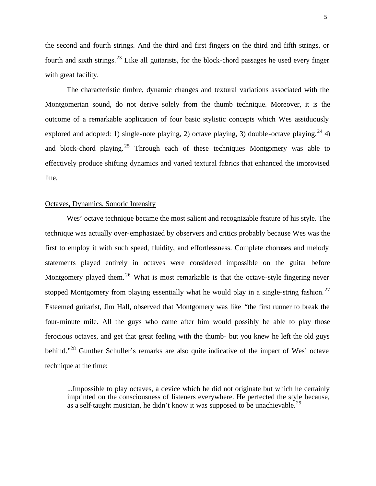the second and fourth strings. And the third and first fingers on the third and fifth strings, or fourth and sixth strings.<sup>23</sup> Like all guitarists, for the block-chord passages he used every finger with great facility.

The characteristic timbre, dynamic changes and textural variations associated with the Montgomerian sound, do not derive solely from the thumb technique. Moreover, it is the outcome of a remarkable application of four basic stylistic concepts which Wes assiduously explored and adopted: 1) single-note playing, 2) octave playing, 3) double-octave playing,  $^{24}$  4) and block-chord playing.<sup>25</sup> Through each of these techniques Montgomery was able to effectively produce shifting dynamics and varied textural fabrics that enhanced the improvised line.

## Octaves, Dynamics, Sonoric Intensity

Wes' octave technique became the most salient and recognizable feature of his style. The technique was actually over-emphasized by observers and critics probably because Wes was the first to employ it with such speed, fluidity, and effortlessness. Complete choruses and melody statements played entirely in octaves were considered impossible on the guitar before Montgomery played them.<sup>26</sup> What is most remarkable is that the octave-style fingering never stopped Montgomery from playing essentially what he would play in a single-string fashion.<sup>27</sup> Esteemed guitarist, Jim Hall, observed that Montgomery was like "the first runner to break the four-minute mile. All the guys who came after him would possibly be able to play those ferocious octaves, and get that great feeling with the thumb- but you knew he left the old guys behind."<sup>28</sup> Gunther Schuller's remarks are also quite indicative of the impact of Wes' octave technique at the time:

...Impossible to play octaves, a device which he did not originate but which he certainly imprinted on the consciousness of listeners everywhere. He perfected the style because, as a self-taught musician, he didn't know it was supposed to be unachievable.<sup>29</sup>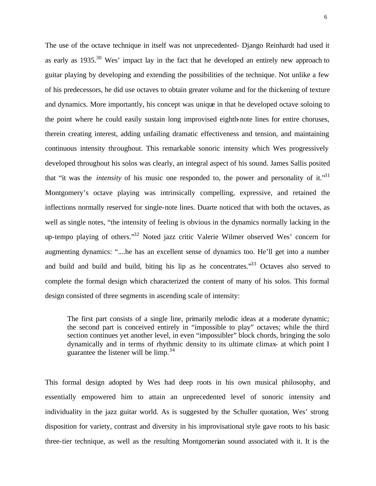The use of the octave technique in itself was not unprecedented- Django Reinhardt had used it as early as  $1935$ <sup>30</sup> Wes' impact lay in the fact that he developed an entirely new approach to guitar playing by developing and extending the possibilities of the technique. Not unlike a few of his predecessors, he did use octaves to obtain greater volume and for the thickening of texture and dynamics. More importantly, his concept was unique in that he developed octave soloing to the point where he could easily sustain long improvised eighth-note lines for entire choruses, therein creating interest, adding unfailing dramatic effectiveness and tension, and maintaining continuous intensity throughout. This remarkable sonoric intensity which Wes progressively developed throughout his solos was clearly, an integral aspect of his sound. James Sallis posited that "it was the *intensity* of his music one responded to, the power and personality of it."<sup>31</sup> Montgomery's octave playing was intrinsically compelling, expressive, and retained the inflections normally reserved for single-note lines. Duarte noticed that with both the octaves, as well as single notes, "the intensity of feeling is obvious in the dynamics normally lacking in the up-tempo playing of others."<sup>32</sup> Noted jazz critic Valerie Wilmer observed Wes' concern for augmenting dynamics: "....he has an excellent sense of dynamics too. He'll get into a number and build and build and build, biting his lip as he concentrates."<sup>33</sup> Octaves also served to complete the formal design which characterized the content of many of his solos. This formal design consisted of three segments in ascending scale of intensity:

The first part consists of a single line, primarily melodic ideas at a moderate dynamic; the second part is conceived entirely in "impossible to play" octaves; while the third section continues yet another level, in even "impossibler" block chords, bringing the solo dynamically and in terms of rhythmic density to its ultimate climax- at which point I guarantee the listener will be  $\lim_{n \to \infty} 3^{34}$ 

This formal design adopted by Wes had deep roots in his own musical philosophy, and essentially empowered him to attain an unprecedented level of sonoric intensity and individuality in the jazz guitar world. As is suggested by the Schuller quotation, Wes' strong disposition for variety, contrast and diversity in his improvisational style gave roots to his basic three-tier technique, as well as the resulting Montgomerian sound associated with it. It is the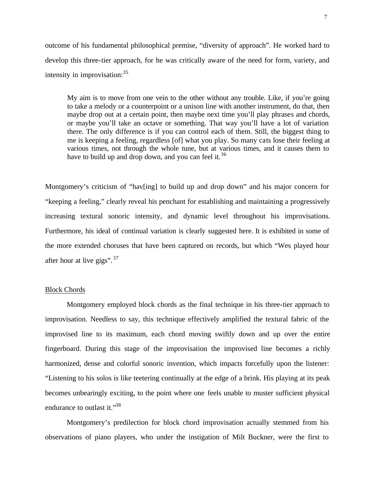outcome of his fundamental philosophical premise, "diversity of approach". He worked hard to develop this three-tier approach, for he was critically aware of the need for form, variety, and intensity in improvisation:  $35$ 

My aim is to move from one vein to the other without any trouble. Like, if you're going to take a melody or a counterpoint or a unison line with another instrument, do that, then maybe drop out at a certain point, then maybe next time you'll play phrases and chords, or maybe you'll take an octave or something. That way you'll have a lot of variation there. The only difference is if you can control each of them. Still, the biggest thing to me is keeping a feeling, regardless [of] what you play. So many cats lose their feeling at various times, not through the whole tune, but at various times, and it causes them to have to build up and drop down, and you can feel it.<sup>36</sup>

Montgomery's criticism of "hav[ing] to build up and drop down" and his major concern for "keeping a feeling," clearly reveal his penchant for establishing and maintaining a progressively increasing textural sonoric intensity, and dynamic level throughout his improvisations. Furthermore, his ideal of continual variation is clearly suggested here. It is exhibited in some of the more extended choruses that have been captured on records, but which "Wes played hour after hour at live gigs".  $37$ 

# Block Chords

Montgomery employed block chords as the final technique in his three-tier approach to improvisation. Needless to say, this technique effectively amplified the textural fabric of the improvised line to its maximum, each chord moving swiftly down and up over the entire fingerboard. During this stage of the improvisation the improvised line becomes a richly harmonized, dense and colorful sonoric invention, which impacts forcefully upon the listener: "Listening to his solos is like teetering continually at the edge of a brink. His playing at its peak becomes unbearingly exciting, to the point where one feels unable to muster sufficient physical endurance to outlast it."<sup>38</sup>

Montgomery's predilection for block chord improvisation actually stemmed from his observations of piano players, who under the instigation of Milt Buckner, were the first to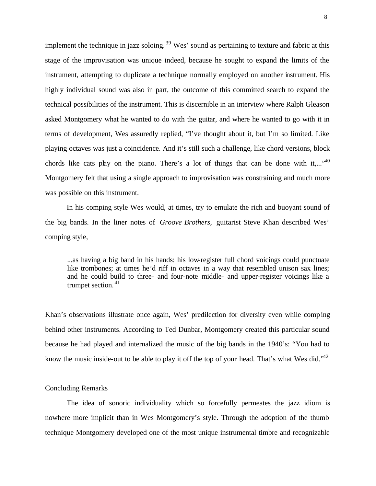implement the technique in jazz soloing.<sup>39</sup> Wes' sound as pertaining to texture and fabric at this stage of the improvisation was unique indeed, because he sought to expand the limits of the instrument, attempting to duplicate a technique normally employed on another instrument. His highly individual sound was also in part, the outcome of this committed search to expand the technical possibilities of the instrument. This is discernible in an interview where Ralph Gleason asked Montgomery what he wanted to do with the guitar, and where he wanted to go with it in terms of development, Wes assuredly replied, "I've thought about it, but I'm so limited. Like playing octaves was just a coincidence. And it's still such a challenge, like chord versions, block chords like cats play on the piano. There's a lot of things that can be done with it,...<sup>..40</sup> Montgomery felt that using a single approach to improvisation was constraining and much more was possible on this instrument.

In his comping style Wes would, at times, try to emulate the rich and buoyant sound of the big bands. In the liner notes of *Groove Brothers,* guitarist Steve Khan described Wes' comping style,

...as having a big band in his hands: his low-register full chord voicings could punctuate like trombones; at times he'd riff in octaves in a way that resembled unison sax lines; and he could build to three- and four-note middle- and upper-register voicings like a trumpet section. <sup>41</sup>

Khan's observations illustrate once again, Wes' predilection for diversity even while comping behind other instruments. According to Ted Dunbar, Montgomery created this particular sound because he had played and internalized the music of the big bands in the 1940's: "You had to know the music inside-out to be able to play it off the top of your head. That's what Wes did.<sup> $42$ </sup>

### Concluding Remarks

The idea of sonoric individuality which so forcefully permeates the jazz idiom is nowhere more implicit than in Wes Montgomery's style. Through the adoption of the thumb technique Montgomery developed one of the most unique instrumental timbre and recognizable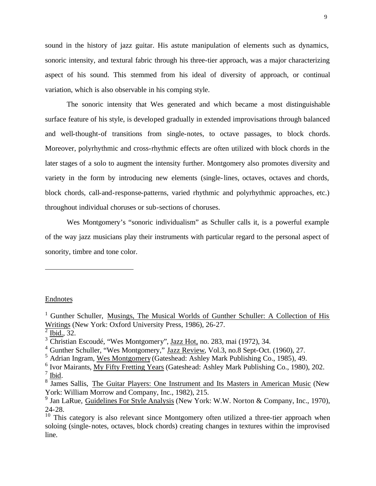sound in the history of jazz guitar. His astute manipulation of elements such as dynamics, sonoric intensity, and textural fabric through his three-tier approach, was a major characterizing aspect of his sound. This stemmed from his ideal of diversity of approach, or continual variation, which is also observable in his comping style.

The sonoric intensity that Wes generated and which became a most distinguishable surface feature of his style, is developed gradually in extended improvisations through balanced and well-thought-of transitions from single-notes, to octave passages, to block chords. Moreover, polyrhythmic and cross-rhythmic effects are often utilized with block chords in the later stages of a solo to augment the intensity further. Montgomery also promotes diversity and variety in the form by introducing new elements (single-lines, octaves, octaves and chords, block chords, call-and-response-patterns, varied rhythmic and polyrhythmic approaches, etc.) throughout individual choruses or sub-sections of choruses.

Wes Montgomery's "sonoric individualism" as Schuller calls it, is a powerful example of the way jazz musicians play their instruments with particular regard to the personal aspect of sonority, timbre and tone color.

#### Endnotes

l

<sup>&</sup>lt;sup>1</sup> Gunther Schuller, Musings, The Musical Worlds of Gunther Schuller: A Collection of His Writings (New York: Oxford University Press, 1986), 26-27.

 $2 \underline{\text{Ibid.,}} 32.$ 

 $3 \overline{\text{Christian Escould}}$ é, "Wes Montgomery", Jazz Hot, no. 283, mai (1972), 34.

<sup>&</sup>lt;sup>4</sup> Gunther Schuller, "Wes Montgomery," <u>Jazz Review</u>, Vol.3, no.8 Sept-Oct. (1960), 27.

<sup>5</sup> Adrian Ingram, Wes Montgomery (Gateshead: Ashley Mark Publishing Co., 1985), 49.

<sup>&</sup>lt;sup>6</sup> Ivor Mairants, My Fifty Fretting Years (Gateshead: Ashley Mark Publishing Co., 1980), 202.  $7$  Ibid.

<sup>&</sup>lt;sup>8</sup> James Sallis, The Guitar Players: One Instrument and Its Masters in American Music (New York: William Morrow and Company, Inc., 1982), 215.

<sup>&</sup>lt;sup>9</sup> Jan LaRue, Guidelines For Style Analysis (New York: W.W. Norton & Company, Inc., 1970), 24-28.

 $10$  This category is also relevant since Montgomery often utilized a three-tier approach when soloing (single-notes, octaves, block chords) creating changes in textures within the improvised line.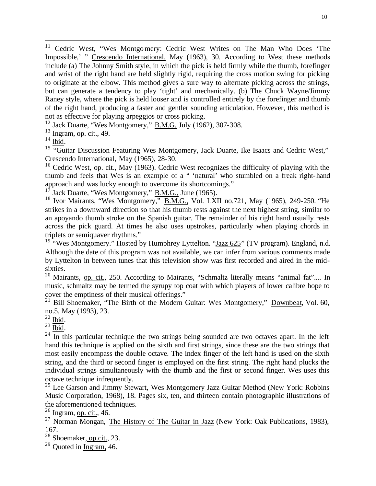<sup>11</sup> Cedric West, "Wes Montgomery: Cedric West Writes on The Man Who Does 'The Impossible,' " Crescendo International, May (1963), 30. According to West these methods include (a) The Johnny Smith style, in which the pick is held firmly while the thumb, forefinger and wrist of the right hand are held slightly rigid, requiring the cross motion swing for picking to originate at the elbow. This method gives a sure way to alternate picking across the strings, but can generate a tendency to play 'tight' and mechanically. (b) The Chuck Wayne/Jimmy Raney style, where the pick is held looser and is controlled entirely by the forefinger and thumb of the right hand, producing a faster and gentler sounding articulation. However, this method is not as effective for playing arpeggios or cross picking.

 $12$  Jack Duarte, "Wes Montgomery," B.M.G. July (1962), 307-308.

 $13$  Ingram, op. cit., 49.

 $14$  Ibid.

l

<sup>15</sup> "Guitar Discussion Featuring Wes Montgomery, Jack Duarte, Ike Isaacs and Cedric West," Crescendo International, May (1965), 28-30.

 $\frac{16}{16}$  Cedric West, op. cit., May (1963). Cedric West recognizes the difficulty of playing with the thumb and feels that Wes is an example of a " 'natural' who stumbled on a freak right-hand approach and was lucky enough to overcome its shortcomings."

Jack Duarte, "Wes Montgomery," B.M.G., June (1965).

<sup>18</sup> Ivor Mairants, "Wes Montgomery," B.M.G., Vol. LXII no.721, May (1965), 249-250. "He strikes in a downward direction so that his thumb rests against the next highest string, similar to an apoyando thumb stroke on the Spanish guitar. The remainder of his right hand usually rests across the pick guard. At times he also uses upstrokes, particularly when playing chords in triplets or semiquaver rhythms."

<sup>19</sup> "Wes Montgomery." Hosted by Humphrey Lyttelton. "Jazz  $625$ " (TV program). England, n.d. Although the date of this program was not available, we can infer from various comments made by Lyttelton in between tunes that this television show was first recorded and aired in the midsixties.

<sup>20</sup> Mairants, op. cit., 250. According to Mairants, "Schmaltz literally means "animal fat".... In music, schmaltz may be termed the syrupy top coat with which players of lower calibre hope to cover the emptiness of their musical offerings."

 $21$  Bill Shoemaker, "The Birth of the Modern Guitar: Wes Montgomery," Downbeat, Vol. 60, no.5, May (1993), 23.

 $22$  Ibid.

 $^{23}$  Ibid.

 $^{24}$  In this particular technique the two strings being sounded are two octaves apart. In the left hand this technique is applied on the sixth and first strings, since these are the two strings that most easily encompass the double octave. The index finger of the left hand is used on the sixth string, and the third or second finger is employed on the first string. The right hand plucks the individual strings simultaneously with the thumb and the first or second finger. Wes uses this octave technique infrequently.

<sup>25</sup> Lee Garson and Jimmy Stewart, Wes Montgomery Jazz Guitar Method (New York: Robbins Music Corporation, 1968), 18. Pages six, ten, and thirteen contain photographic illustrations of the aforementioned techniques.

 $\frac{26}{26}$  Ingram, op. cit., 46.

<sup>27</sup> Norman Mongan, The History of The Guitar in Jazz (New York: Oak Publications, 1983), 167.

 $28$  Shoemaker, op.cit., 23.

 $29$  Ouoted in Ingram, 46.